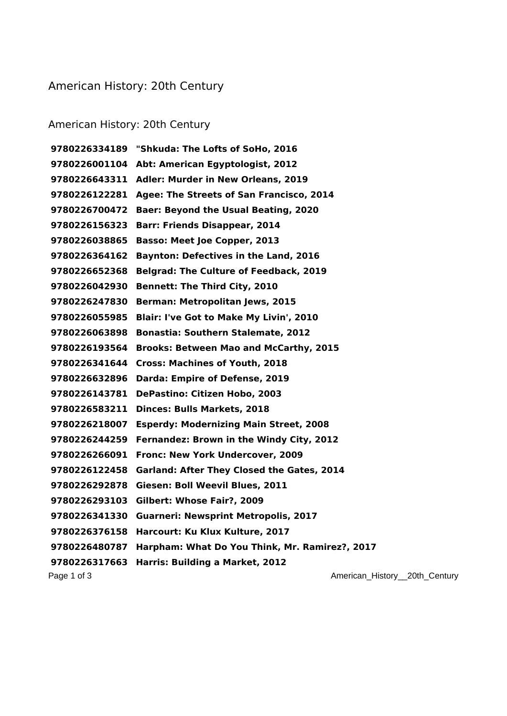## American History: 20th Century

## American History: 20th Century

Page 1 of 3 **American\_History\_20th\_Century Page 1 of 3** American\_History\_20th\_Century **"Shkuda: The Lofts of SoHo, 2016 Abt: American Egyptologist, 2012 Adler: Murder in New Orleans, 2019 Agee: The Streets of San Francisco, 2014 Baer: Beyond the Usual Beating, 2020 Barr: Friends Disappear, 2014 Basso: Meet Joe Copper, 2013 Baynton: Defectives in the Land, 2016 Belgrad: The Culture of Feedback, 2019 Bennett: The Third City, 2010 Berman: Metropolitan Jews, 2015 Blair: I've Got to Make My Livin', 2010 Bonastia: Southern Stalemate, 2012 Brooks: Between Mao and McCarthy, 2015 Cross: Machines of Youth, 2018 Darda: Empire of Defense, 2019 DePastino: Citizen Hobo, 2003 Dinces: Bulls Markets, 2018 Esperdy: Modernizing Main Street, 2008 Fernandez: Brown in the Windy City, 2012 Fronc: New York Undercover, 2009 Garland: After They Closed the Gates, 2014 Giesen: Boll Weevil Blues, 2011 Gilbert: Whose Fair?, 2009 Guarneri: Newsprint Metropolis, 2017 Harcourt: Ku Klux Kulture, 2017 Harpham: What Do You Think, Mr. Ramirez?, 2017 Harris: Building a Market, 2012**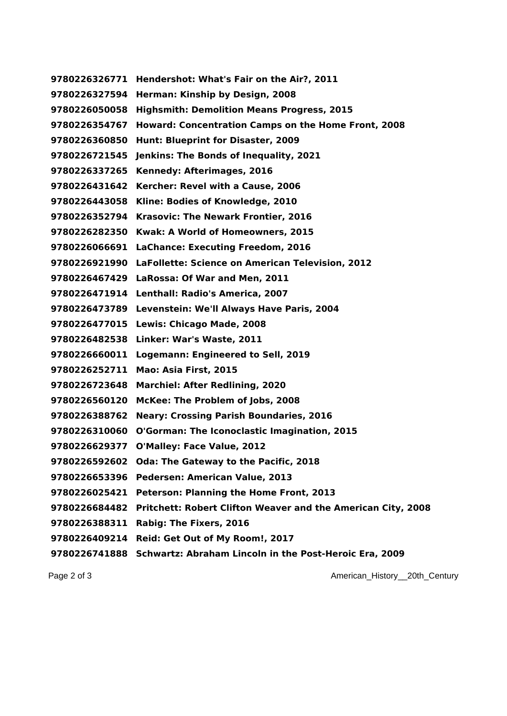**Hendershot: What's Fair on the Air?, 2011 Herman: Kinship by Design, 2008 Highsmith: Demolition Means Progress, 2015 Howard: Concentration Camps on the Home Front, 2008 Hunt: Blueprint for Disaster, 2009 Jenkins: The Bonds of Inequality, 2021 Kennedy: Afterimages, 2016 Kercher: Revel with a Cause, 2006 Kline: Bodies of Knowledge, 2010 Krasovic: The Newark Frontier, 2016 Kwak: A World of Homeowners, 2015 LaChance: Executing Freedom, 2016 LaFollette: Science on American Television, 2012 LaRossa: Of War and Men, 2011 Lenthall: Radio's America, 2007 Levenstein: We'll Always Have Paris, 2004 Lewis: Chicago Made, 2008 Linker: War's Waste, 2011 Logemann: Engineered to Sell, 2019 Mao: Asia First, 2015 Marchiel: After Redlining, 2020 McKee: The Problem of Jobs, 2008 Neary: Crossing Parish Boundaries, 2016 O'Gorman: The Iconoclastic Imagination, 2015 O'Malley: Face Value, 2012 Oda: The Gateway to the Pacific, 2018 Pedersen: American Value, 2013 Peterson: Planning the Home Front, 2013 Pritchett: Robert Clifton Weaver and the American City, 2008 Rabig: The Fixers, 2016 Reid: Get Out of My Room!, 2017 Schwartz: Abraham Lincoln in the Post-Heroic Era, 2009**

Page 2 of 3 **American\_History\_20th\_Century Page 2 of 3** American\_History\_20th\_Century